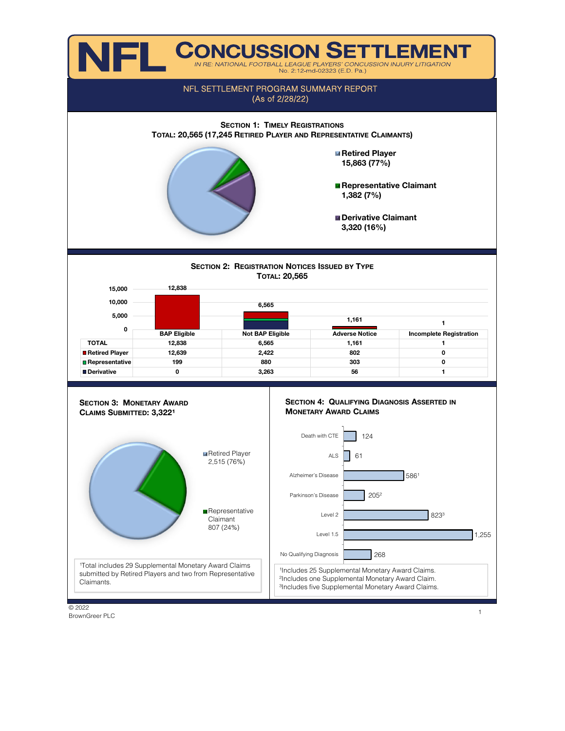

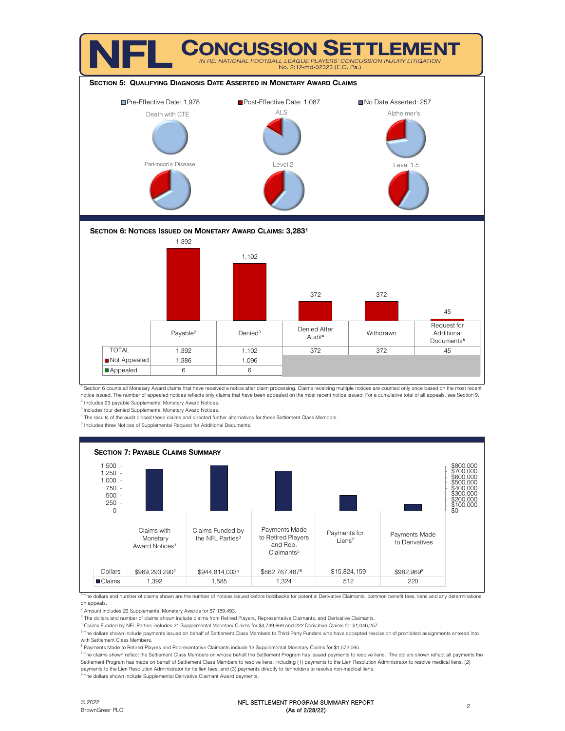

<sup>1</sup> Section 6 counts all Monetary Award claims that have received a notice after claim processing. Claims receiving multiple notices are counted only once based on the most recent notice issued. The number of appealed notices reflects only claims that have been appealed on the most recent notice issued. For a cumulative total of all appeals, see Section 9.

<sup>2</sup> Includes 23 payable Supplemental Monetary Award Notices. <sup>3</sup> Includes four denied Supplemental Monetary Award Notices.

4 The results of the audit closed these claims and directed further alternatives for these Settlement Class Members.

<sup>5</sup> Includes three Notices of Supplemental Request for Additional Documents.

![](_page_1_Figure_6.jpeg)

<sup>1</sup> The dollars and number of claims shown are the number of notices issued before holdbacks for potential Derivative Claimants, common benefit fees, liens and any determinations on appeals.

<sup>2</sup> Amount includes 23 Supplemental Monetary Awards for \$7,189,493.

<sup>3</sup> The dollars and number of claims shown include claims from Retired Players, Representative Claimants, and Derivative Claimants.

4 Claims Funded by NFL Parties includes 21 Supplemental Monetary Claims for \$4,739,869 and 222 Derivative Claims for \$1,046,257.

<sup>5</sup> The dollars shown include payments issued on behalf of Settlement Class Members to Third-Party Funders who have accepted rescission of prohibited assignments entered into with Settlement Class Members.

<sup>6</sup> Payments Made to Retired Players and Representative Claimants include 13 Supplemental Monetary Claims for \$1,572,095.

<sup>7</sup> The claims shown reflect the Settlement Class Members on whose behalf the Settlement Program has issued payments to resolve liens. The dollars shown reflect all payments the Settlement Program has made on behalf of Settlement Class Members to resolve liens, including (1) payments to the Lien Resolution Administrator to resolve medical liens, (2) payments to the Lien Resolution Administrator for its lien fees, and (3) payments directly to lienholders to resolve non-medical liens.

<sup>8</sup> The dollars shown include Supplemental Derivative Claimant Award payments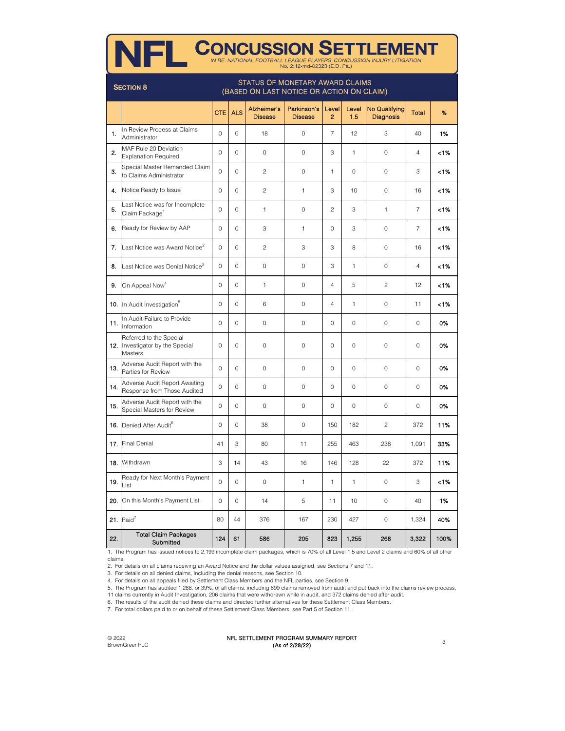| <b>CONCUSSION SETTLEMENT</b><br><b>NFL</b><br>IN RE: NATIONAL FOOTBALL LEAGUE PLAYERS' CONCUSSION INJURY LITIGATION<br>No. 2:12-md-02323 (E.D. Pa.) |                                                                                                         |                |             |                               |                               |                         |              |                                   |                |      |
|-----------------------------------------------------------------------------------------------------------------------------------------------------|---------------------------------------------------------------------------------------------------------|----------------|-------------|-------------------------------|-------------------------------|-------------------------|--------------|-----------------------------------|----------------|------|
|                                                                                                                                                     | <b>STATUS OF MONETARY AWARD CLAIMS</b><br><b>SECTION 8</b><br>(BASED ON LAST NOTICE OR ACTION ON CLAIM) |                |             |                               |                               |                         |              |                                   |                |      |
|                                                                                                                                                     |                                                                                                         | <b>CTE</b>     | <b>ALS</b>  | Alzheimer's<br><b>Disease</b> | Parkinson's<br><b>Disease</b> | Level<br>$\overline{c}$ | Level<br>1.5 | No Qualifying<br><b>Diagnosis</b> | Total          | %    |
| 1.                                                                                                                                                  | In Review Process at Claims<br>Administrator                                                            | 0              | $\circ$     | 18                            | $\mathbf 0$                   | $\overline{7}$          | 12           | 3                                 | 40             | 1%   |
| 2.                                                                                                                                                  | MAF Rule 20 Deviation<br><b>Explanation Required</b>                                                    | $\mathbf 0$    | $\Omega$    | $\Omega$                      | $\mathbf 0$                   | 3                       | 1            | $\Omega$                          | $\overline{4}$ | 1%   |
| 3.                                                                                                                                                  | Special Master Remanded Claim<br>to Claims Administrator                                                | 0              | 0           | $\overline{c}$                | 0                             | 1                       | $\mathbf 0$  | $\circ$                           | 3              | -1%  |
| 4.                                                                                                                                                  | Notice Ready to Issue                                                                                   | $\mathbf 0$    | $\circ$     | $\overline{c}$                | 1                             | 3                       | 10           | $\mathbf 0$                       | 16             | <1%  |
| 5.                                                                                                                                                  | Last Notice was for Incomplete<br>Claim Package <sup>1</sup>                                            | 0              | $\Omega$    | 1                             | $\mathbf 0$                   | $\overline{c}$          | 3            | 1                                 | $\overline{7}$ | 1%   |
| 6.                                                                                                                                                  | Ready for Review by AAP                                                                                 | 0              | $\circ$     | 3                             | 1                             | 0                       | 3            | $\circ$                           | $\overline{7}$ | 1%   |
|                                                                                                                                                     | 7. Last Notice was Award Notice <sup>2</sup>                                                            | $\mathbf 0$    | $\mathbf 0$ | $\overline{2}$                | 3                             | 3                       | 8            | $\mathbf 0$                       | 16             | 1%   |
| 8.                                                                                                                                                  | Last Notice was Denial Notice <sup>3</sup>                                                              | $\Omega$       | $\Omega$    | $\Omega$                      | 0                             | 3                       | 1            | $\mathbf 0$                       | $\overline{4}$ | 1%   |
| 9.                                                                                                                                                  | On Appeal Now <sup>4</sup>                                                                              | 0              | 0           | 1                             | 0                             | $\overline{4}$          | 5            | $\overline{2}$                    | 12             | <1%  |
|                                                                                                                                                     | 10. In Audit Investigation <sup>5</sup>                                                                 | 0              | 0           | 6                             | $\mathbf 0$                   | $\overline{4}$          | 1            | $\mathbf 0$                       | 11             | <1%  |
| 11.                                                                                                                                                 | In Audit-Failure to Provide<br>Information                                                              | $\Omega$       | $\circ$     | $\mathbf 0$                   | 0                             | 0                       | $\mathbf 0$  | $\circ$                           | 0              | 0%   |
|                                                                                                                                                     | Referred to the Special<br>12. Investigator by the Special<br>Masters                                   | $\mathbf 0$    | $\circ$     | $\mathbf 0$                   | $\mathbf 0$                   | $\mathbf 0$             | $\circ$      | $\mathbf 0$                       | 0              | 0%   |
| 13.                                                                                                                                                 | Adverse Audit Report with the<br>Parties for Review                                                     | $\overline{0}$ | $\circ$     | $\circ$                       | 0                             | $\mathbf 0$             | $\mathbf 0$  | $\circ$                           | 0              | 0%   |
| 14.                                                                                                                                                 | Adverse Audit Report Awaiting<br>Response from Those Audited                                            | $\mathbf 0$    | $\circ$     | $\circ$                       | $\mathbf 0$                   | 0                       | $\circ$      | $\mathbf 0$                       | 0              | 0%   |
| 15.                                                                                                                                                 | Adverse Audit Report with the<br>Special Masters for Review                                             | $\mathbf 0$    | 0           | $\circ$                       | 0                             | 0                       | $\mathbf 0$  | $\circ$                           | 0              | 0%   |
|                                                                                                                                                     | 16. Denied After Audit <sup>6</sup>                                                                     | $\circ$        | 0           | 38                            | $\circ$                       | 150                     | 182          | $\overline{c}$                    | 372            | 11%  |
|                                                                                                                                                     | 17. Final Denial                                                                                        | 41             | 3           | 80                            | 11                            | 255                     | 463          | 238                               | 1,091          | 33%  |
|                                                                                                                                                     | 18. Withdrawn                                                                                           | 3              | 14          | 43                            | 16                            | 146                     | 128          | 22                                | 372            | 11%  |
| 19.                                                                                                                                                 | Ready for Next Month's Payment<br>List                                                                  | $\circ$        | 0           | 0                             | 1                             | 1                       | 1            | 0                                 | 3              | - 1% |
| 20.                                                                                                                                                 | On this Month's Payment List                                                                            | 0              | 0           | 14                            | 5                             | 11                      | 10           | 0                                 | 40             | 1%   |
|                                                                                                                                                     | $21.$ Paid <sup>7</sup>                                                                                 | 80             | 44          | 376                           | 167                           | 230                     | 427          | 0                                 | 1,324          | 40%  |
| 22.                                                                                                                                                 | <b>Total Claim Packages</b><br>Submitted                                                                | 124            | 61          | 586                           | 205                           | 823                     | 1,255        | 268                               | 3,322          | 100% |

1. The Program has issued notices to 2,199 incomplete claim packages, which is 70% of all Level 1.5 and Level 2 claims and 60% of all other claims.

2. For details on all claims receiving an Award Notice and the dollar values assigned, see Sections 7 and 11.

3. For details on all denied claims, including the denial reasons, see Section 10.

4. For details on all appeals filed by Settlement Class Members and the NFL parties, see Section 9.

5. The Program has audited 1,288, or 39%, of all claims, including 699 claims removed from audit and put back into the claims review process,

11 claims currently in Audit Investigation, 206 claims that were withdrawn while in audit, and 372 claims denied after audit.

6. The results of the audit denied these claims and directed further alternatives for these Settlement Class Members.

7. For total dollars paid to or on behalf of these Settlement Class Members, see Part 5 of Section 11.

© 2022 BrownGreer PLC

### NFL SETTLEMENT PROGRAM SUMMARY REPORT (As of 2/28/22)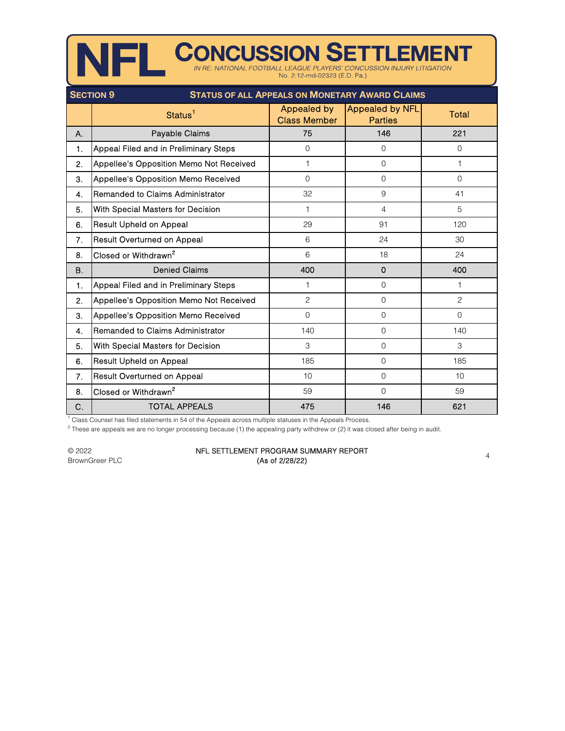|                                                                           |                                         | No. 2:12 md-02323 (E.D. Pa.)       | IN RE: NATIONAL FOOTBALL LEAGUE PLAYERS' CONCUSSION INJURY LITIGATION |                |  |
|---------------------------------------------------------------------------|-----------------------------------------|------------------------------------|-----------------------------------------------------------------------|----------------|--|
| <b>STATUS OF ALL APPEALS ON MONETARY AWARD CLAIMS</b><br><b>SECTION 9</b> |                                         |                                    |                                                                       |                |  |
|                                                                           | Status <sup>1</sup>                     | Appealed by<br><b>Class Member</b> | <b>Appealed by NFL</b><br><b>Parties</b>                              | Total          |  |
| Α.                                                                        | Payable Claims                          | 75                                 | 146                                                                   | 221            |  |
| $\mathbf{1}$ .                                                            | Appeal Filed and in Preliminary Steps   | $\mathbf{O}$                       | $\overline{0}$                                                        | $\overline{0}$ |  |
| 2.                                                                        | Appellee's Opposition Memo Not Received | 1                                  | $\Omega$                                                              | $\mathbf{1}$   |  |
| 3.                                                                        | Appellee's Opposition Memo Received     | $\mathbf{O}$                       | $\Omega$                                                              | $\Omega$       |  |
| 4.                                                                        | Remanded to Claims Administrator        | 32                                 | $9\,$                                                                 | 41             |  |
| 5.                                                                        | With Special Masters for Decision       | 1                                  | $\overline{4}$                                                        | 5              |  |
| 6.                                                                        | <b>Result Upheld on Appeal</b>          | 29                                 | 91                                                                    | 120            |  |
| 7.                                                                        | <b>Result Overturned on Appeal</b>      | 6                                  | 24                                                                    | 30             |  |
| 8.                                                                        | Closed or Withdrawn <sup>2</sup>        | $6\phantom{.}6$                    | 18                                                                    | 24             |  |
| <b>B.</b>                                                                 | <b>Denied Claims</b>                    | 400                                | 0                                                                     | 400            |  |
| $\mathbf{1}$ .                                                            | Appeal Filed and in Preliminary Steps   | 1                                  | $\Omega$                                                              | 1              |  |
| 2.                                                                        | Appellee's Opposition Memo Not Received | 2                                  | $\Omega$                                                              | $\overline{c}$ |  |
| 3.                                                                        | Appellee's Opposition Memo Received     | $\mathbf{O}$                       | $\overline{0}$                                                        | $\Omega$       |  |
| 4.                                                                        | Remanded to Claims Administrator        | 140                                | $\mathbf 0$                                                           | 140            |  |
| 5.                                                                        | With Special Masters for Decision       | 3                                  | $\Omega$                                                              | 3              |  |
| 6.                                                                        | Result Upheld on Appeal                 | 185                                | $\overline{0}$                                                        | 185            |  |
| 7.                                                                        | Result Overturned on Appeal             | 10                                 | $\Omega$                                                              | 10             |  |
| 8.                                                                        | Closed or Withdrawn <sup>2</sup>        | 59                                 | $\Omega$                                                              | 59             |  |
| C.                                                                        | <b>TOTAL APPEALS</b>                    | 475                                | 146                                                                   | 621            |  |

**NIEI CONCUSSION SETTLEMENT** 

<sup>1</sup> Class Counsel has filed statements in 54 of the Appeals across multiple statuses in the Appeals Process.

 $^2$  These are appeals we are no longer processing because (1) the appealing party withdrew or (2) it was closed after being in audit.

© 2022 BrownGreer PLC

### NFL SETTLEMENT PROGRAM SUMMARY REPORT  $\left( \text{As of } 2/28/22 \right)$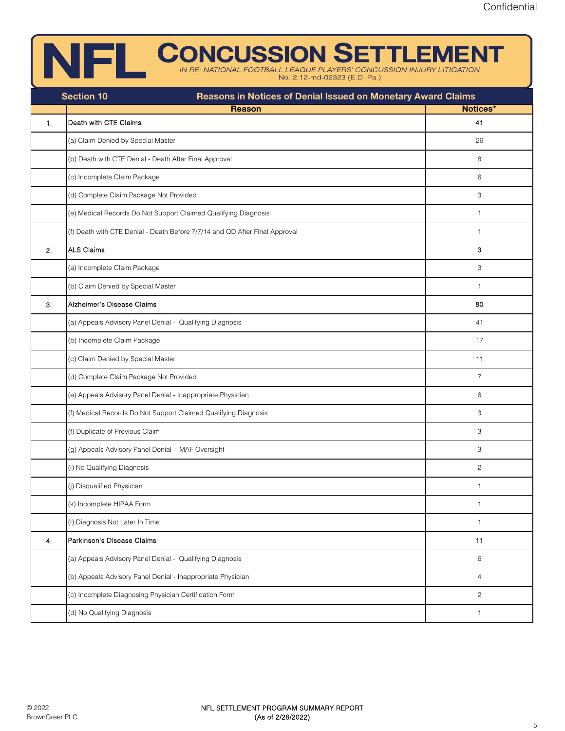### **CONCUSSION SETTLEMENT**

No. 2:12-md-02323 (E.D. Pa.)

|    | Reasons in Notices of Denial Issued on Monetary Award Claims<br><b>Section 10</b> |                |
|----|-----------------------------------------------------------------------------------|----------------|
|    | <b>Reason</b>                                                                     | Notices*       |
| 1. | Death with CTE Claims                                                             | 41             |
|    | (a) Claim Denied by Special Master                                                | 26             |
|    | (b) Death with CTE Denial - Death After Final Approval                            | 8              |
|    | (c) Incomplete Claim Package                                                      | 6              |
|    | (d) Complete Claim Package Not Provided                                           | 3              |
|    | (e) Medical Records Do Not Support Claimed Qualifying Diagnosis                   | $\mathbf{1}$   |
|    | (f) Death with CTE Denial - Death Before 7/7/14 and QD After Final Approval       | $\mathbf{1}$   |
| 2. | <b>ALS Claims</b>                                                                 | 3              |
|    | (a) Incomplete Claim Package                                                      | 3              |
|    | (b) Claim Denied by Special Master                                                | $\mathbf{1}$   |
| 3. | Alzheimer's Disease Claims                                                        | 80             |
|    | (a) Appeals Advisory Panel Denial - Qualifying Diagnosis                          | 41             |
|    | (b) Incomplete Claim Package                                                      | 17             |
|    | (c) Claim Denied by Special Master                                                | 11             |
|    | (d) Complete Claim Package Not Provided                                           | $\overline{7}$ |
|    | (e) Appeals Advisory Panel Denial - Inappropriate Physician                       | 6              |
|    | (f) Medical Records Do Not Support Claimed Qualifying Diagnosis                   | 3              |
|    | (f) Duplicate of Previous Claim                                                   | 3              |
|    | (g) Appeals Advisory Panel Denial - MAF Oversight                                 | 3              |
|    | (i) No Qualifying Diagnosis                                                       | $\overline{c}$ |
|    | (j) Disqualified Physician                                                        | $\mathbf{1}$   |
|    | (k) Incomplete HIPAA Form                                                         | $\mathbf{1}$   |
|    | (I) Diagnosis Not Later In Time                                                   | $\mathbf{1}$   |
| 4. | Parkinson's Disease Claims                                                        | 11             |
|    | (a) Appeals Advisory Panel Denial - Qualifying Diagnosis                          | 6              |
|    | (b) Appeals Advisory Panel Denial - Inappropriate Physician                       | $\overline{4}$ |
|    | (c) Incomplete Diagnosing Physician Certification Form                            | $\mathbf{2}$   |
|    | (d) No Qualifying Diagnosis                                                       | $\mathbf{1}$   |
|    |                                                                                   |                |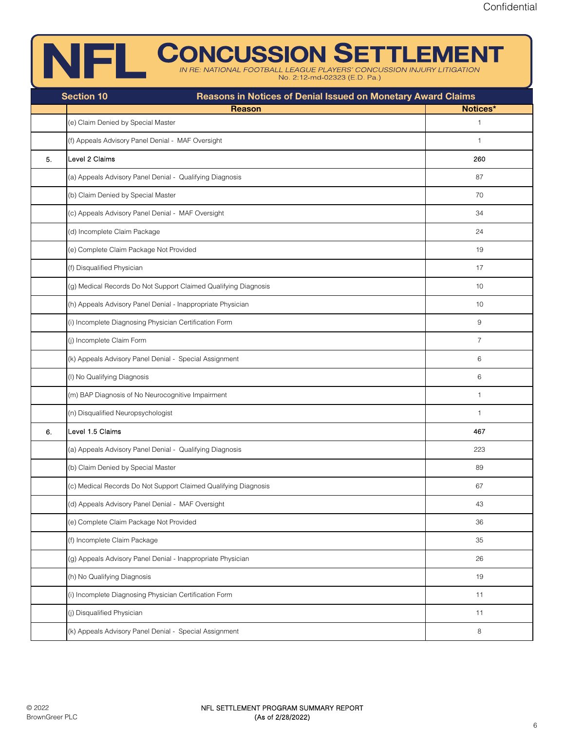# **CONCUSSION SETTLEMENT**

| Reasons in Notices of Denial Issued on Monetary Award Claims<br><b>Section 10</b> |                                                                 |                |  |  |  |  |
|-----------------------------------------------------------------------------------|-----------------------------------------------------------------|----------------|--|--|--|--|
|                                                                                   | <b>Reason</b>                                                   | Notices*       |  |  |  |  |
|                                                                                   | (e) Claim Denied by Special Master                              | $\mathbf{1}$   |  |  |  |  |
|                                                                                   | (f) Appeals Advisory Panel Denial - MAF Oversight               | $\mathbf{1}$   |  |  |  |  |
| 5.                                                                                | Level 2 Claims                                                  | 260            |  |  |  |  |
|                                                                                   | (a) Appeals Advisory Panel Denial - Qualifying Diagnosis        | 87             |  |  |  |  |
|                                                                                   | (b) Claim Denied by Special Master                              | 70             |  |  |  |  |
|                                                                                   | (c) Appeals Advisory Panel Denial - MAF Oversight               | 34             |  |  |  |  |
|                                                                                   | (d) Incomplete Claim Package                                    | 24             |  |  |  |  |
|                                                                                   | (e) Complete Claim Package Not Provided                         | 19             |  |  |  |  |
|                                                                                   | (f) Disqualified Physician                                      | 17             |  |  |  |  |
|                                                                                   | (g) Medical Records Do Not Support Claimed Qualifying Diagnosis | 10             |  |  |  |  |
|                                                                                   | (h) Appeals Advisory Panel Denial - Inappropriate Physician     | 10             |  |  |  |  |
|                                                                                   | (i) Incomplete Diagnosing Physician Certification Form          | 9              |  |  |  |  |
|                                                                                   | (j) Incomplete Claim Form                                       | $\overline{7}$ |  |  |  |  |
|                                                                                   | (k) Appeals Advisory Panel Denial - Special Assignment          | 6              |  |  |  |  |
|                                                                                   | (I) No Qualifying Diagnosis                                     | 6              |  |  |  |  |
|                                                                                   | (m) BAP Diagnosis of No Neurocognitive Impairment               | $\mathbf{1}$   |  |  |  |  |
|                                                                                   | (n) Disqualified Neuropsychologist                              | $\mathbf{1}$   |  |  |  |  |
| 6.                                                                                | Level 1.5 Claims                                                | 467            |  |  |  |  |
|                                                                                   | (a) Appeals Advisory Panel Denial - Qualifying Diagnosis        | 223            |  |  |  |  |
|                                                                                   | (b) Claim Denied by Special Master                              | 89             |  |  |  |  |
|                                                                                   | (c) Medical Records Do Not Support Claimed Qualifying Diagnosis | 67             |  |  |  |  |
|                                                                                   | (d) Appeals Advisory Panel Denial - MAF Oversight               | 43             |  |  |  |  |
|                                                                                   | (e) Complete Claim Package Not Provided                         | 36             |  |  |  |  |
|                                                                                   | (f) Incomplete Claim Package                                    | 35             |  |  |  |  |
|                                                                                   | (g) Appeals Advisory Panel Denial - Inappropriate Physician     | 26             |  |  |  |  |
|                                                                                   | (h) No Qualifying Diagnosis                                     | 19             |  |  |  |  |
|                                                                                   | (i) Incomplete Diagnosing Physician Certification Form          | 11             |  |  |  |  |
|                                                                                   | (j) Disqualified Physician                                      | 11             |  |  |  |  |
|                                                                                   | (k) Appeals Advisory Panel Denial - Special Assignment          | 8              |  |  |  |  |
|                                                                                   |                                                                 |                |  |  |  |  |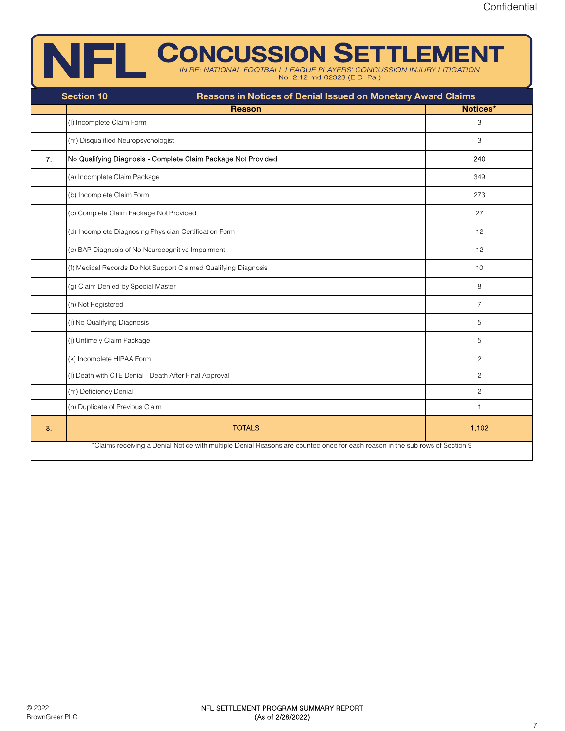## INERE CONCUSSION SETTLEMENT

No. 2:12-md-02323 (E.D. Pa.)

|                | <b>Section 10</b><br>Reasons in Notices of Denial Issued on Monetary Award Claims                                            |                       |
|----------------|------------------------------------------------------------------------------------------------------------------------------|-----------------------|
|                | <b>Reason</b>                                                                                                                | Notices*              |
|                | (I) Incomplete Claim Form                                                                                                    | 3                     |
|                | (m) Disqualified Neuropsychologist                                                                                           | 3                     |
| 7 <sub>1</sub> | No Qualifying Diagnosis - Complete Claim Package Not Provided                                                                | 240                   |
|                | (a) Incomplete Claim Package                                                                                                 | 349                   |
|                | (b) Incomplete Claim Form                                                                                                    | 273                   |
|                | (c) Complete Claim Package Not Provided                                                                                      | 27                    |
|                | (d) Incomplete Diagnosing Physician Certification Form                                                                       | 12                    |
|                | (e) BAP Diagnosis of No Neurocognitive Impairment                                                                            | 12                    |
|                | (f) Medical Records Do Not Support Claimed Qualifying Diagnosis                                                              | 10                    |
|                | (g) Claim Denied by Special Master                                                                                           | 8                     |
|                | (h) Not Registered                                                                                                           | $\overline{7}$        |
|                | (i) No Qualifying Diagnosis                                                                                                  | 5                     |
|                | (j) Untimely Claim Package                                                                                                   | 5                     |
|                | (k) Incomplete HIPAA Form                                                                                                    | $\mathbf{2}$          |
|                | (I) Death with CTE Denial - Death After Final Approval                                                                       | $\mathbf{2}^{\prime}$ |
|                | (m) Deficiency Denial                                                                                                        | $\overline{2}$        |
|                | (n) Duplicate of Previous Claim                                                                                              | $\mathbf{1}$          |
| 8.             | <b>TOTALS</b>                                                                                                                | 1,102                 |
|                | *Claims receiving a Denial Notice with multiple Denial Reasons are counted once for each reason in the sub rows of Section 9 |                       |